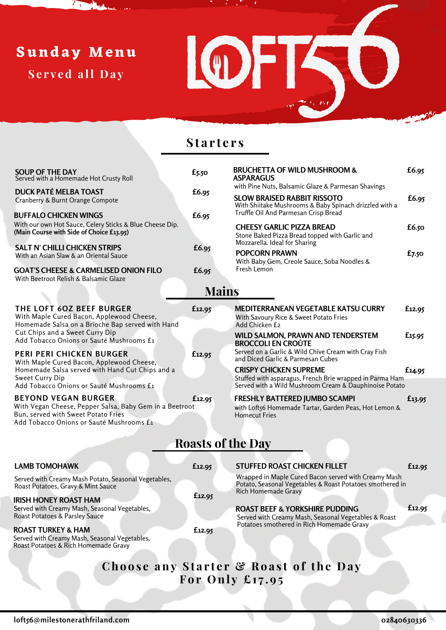## **Sund a y Menu**

**S e r v e d a ll Da y**



## **S t a r t e r s**

| <b>SOUP OF THE DAY</b><br>Served with a Homemade Hot Crusty Roll                          | $f_{5.50}$   | <b>BRUCHETTA OF WILD MUSHROOM &amp;</b><br><b>ASPARAGUS</b>                                                        | £6.95  |  |  |  |  |  |
|-------------------------------------------------------------------------------------------|--------------|--------------------------------------------------------------------------------------------------------------------|--------|--|--|--|--|--|
| <b>DUCK PATÉ MELBA TOAST</b>                                                              | £6.95        | with Pine Nuts, Balsamic Glaze & Parmesan Shavings                                                                 |        |  |  |  |  |  |
| Cranberry & Burnt Orange Compote                                                          |              | <b>SLOW BRAISED RABBIT RISSOTO</b>                                                                                 | £6.95  |  |  |  |  |  |
| <b>BUFFALO CHICKEN WINGS</b>                                                              | £6.95        | With Shiitake Mushrooms & Baby Spinach drizzled with a<br>Truffle Oil And Parmesan Crisp Bread                     |        |  |  |  |  |  |
| With our own Hot Sauce, Celery Sticks & Blue Cheese Dip.                                  |              | <b>CHEESY GARLIC PIZZA BREAD</b>                                                                                   |        |  |  |  |  |  |
| (Main Course with Side of Choice £13.95)                                                  |              | Stone Baked Pizza Bread topped with Garlic and                                                                     | £6.50  |  |  |  |  |  |
| <b>SALT N' CHILLI CHICKEN STRIPS</b>                                                      |              | Mozzarella. Ideal for Sharing                                                                                      |        |  |  |  |  |  |
| With an Asian Slaw & an Oriental Sauce                                                    | £6.95        | <b>POPCORN PRAWN</b>                                                                                               | £7.50  |  |  |  |  |  |
|                                                                                           |              | With Baby Gem, Creole Sauce, Soba Noodles &<br>Fresh Lemon                                                         |        |  |  |  |  |  |
| <b>GOAT'S CHEESE &amp; CARMELISED ONION FILO</b><br>With Beetroot Relish & Balsamic Glaze | £6.95        |                                                                                                                    |        |  |  |  |  |  |
|                                                                                           |              |                                                                                                                    |        |  |  |  |  |  |
|                                                                                           | <b>Mains</b> |                                                                                                                    |        |  |  |  |  |  |
| THE LOFT 60Z BEEF BURGER                                                                  | £12.95       | <b>MEDITERRANEAN VEGETABLE KATSU CURRY</b>                                                                         | £12.95 |  |  |  |  |  |
| With Maple Cured Bacon, Applewood Cheese,                                                 |              | With Savoury Rice & Sweet Potato Fries                                                                             |        |  |  |  |  |  |
| Homemade Salsa on a Brioche Bap served with Hand<br>Cut Chips and a Sweet Curry Dip       |              | Add Chicken £2                                                                                                     |        |  |  |  |  |  |
| Add Tobacco Onions or Sauté Mushrooms £1                                                  |              | WILD SALMON, PRAWN AND TENDERSTEM<br><b>BROCCOLI EN CROÛTE</b>                                                     | £15.95 |  |  |  |  |  |
| PERI PERI CHICKEN BURGER                                                                  | £12.95       | Served on a Garlic & Wild Chive Cream with Cray Fish                                                               |        |  |  |  |  |  |
| With Maple Cured Bacon, Applewood Cheese,                                                 |              | and Diced Garlic & Parmesan Cubes                                                                                  |        |  |  |  |  |  |
| Homemade Salsa served with Hand Cut Chips and a                                           |              | <b>CRISPY CHICKEN SUPREME</b>                                                                                      | £14.95 |  |  |  |  |  |
| Sweet Curry Dip<br>Add Tobacco Onions or Sauté Mushrooms £1                               |              | Stuffed with asparagus, French Brie wrapped in Parma Ham<br>Served with a Wild Mushroom Cream & Dauphinoise Potato |        |  |  |  |  |  |
| <b>BEYOND VEGAN BURGER</b>                                                                | £12.95       | <b>FRESHLY BATTERED JUMBO SCAMPI</b>                                                                               |        |  |  |  |  |  |
| With Vegan Cheese, Pepper Salsa, Baby Gem in a Beetroot                                   |              | with Loft56 Homemade Tartar, Garden Peas, Hot Lemon &                                                              | £13.95 |  |  |  |  |  |
| Bun, served with Sweet Potato Fries                                                       |              | <b>Homecut Fries</b>                                                                                               |        |  |  |  |  |  |
| Add Tobacco Onions or Sauté Mushrooms £1                                                  |              |                                                                                                                    |        |  |  |  |  |  |
| <b>Roasts of the Day</b>                                                                  |              |                                                                                                                    |        |  |  |  |  |  |
|                                                                                           |              |                                                                                                                    |        |  |  |  |  |  |
| <b>LAMB TOMOHAWK</b>                                                                      |              |                                                                                                                    |        |  |  |  |  |  |
|                                                                                           | £12.95       | <b>STUFFED ROAST CHICKEN FILLET</b>                                                                                | £12.95 |  |  |  |  |  |
| Served with Creamy Mash Potato, Seasonal Vegetables,                                      |              | Wrapped in Maple Cured Bacon served with Creamy Mash<br>Potato, Seasonal Vegetables & Roast Potatoes smothered in  |        |  |  |  |  |  |
| Roast Potatoes, Gravy & Mint Sauce                                                        | £12.95       | Rich Homemade Gravy                                                                                                |        |  |  |  |  |  |
| <b>IRISH HONEY ROAST HAM</b>                                                              |              |                                                                                                                    |        |  |  |  |  |  |
| Served with Creamy Mash, Seasonal Vegetables,<br>Roast Potatoes & Parsley Sauce           |              | <b>ROAST BEEF &amp; YORKSHIRE PUDDING</b><br>Served with Creamy Mash, Seasonal Vegetables & Roast                  | £12.95 |  |  |  |  |  |
|                                                                                           |              | Potatoes smothered in Rich Homemade Gravy                                                                          |        |  |  |  |  |  |
| <b>ROAST TURKEY &amp; HAM</b><br>Served with Creamy Mash, Seasonal Vegetables,            | £12.95       |                                                                                                                    |        |  |  |  |  |  |
| Roast Potatoes & Rich Homemade Gravy                                                      |              |                                                                                                                    |        |  |  |  |  |  |
|                                                                                           |              |                                                                                                                    |        |  |  |  |  |  |
| Choose any Starter & Roast of the Day                                                     |              |                                                                                                                    |        |  |  |  |  |  |
| For Only $\pounds$ 17.95                                                                  |              |                                                                                                                    |        |  |  |  |  |  |